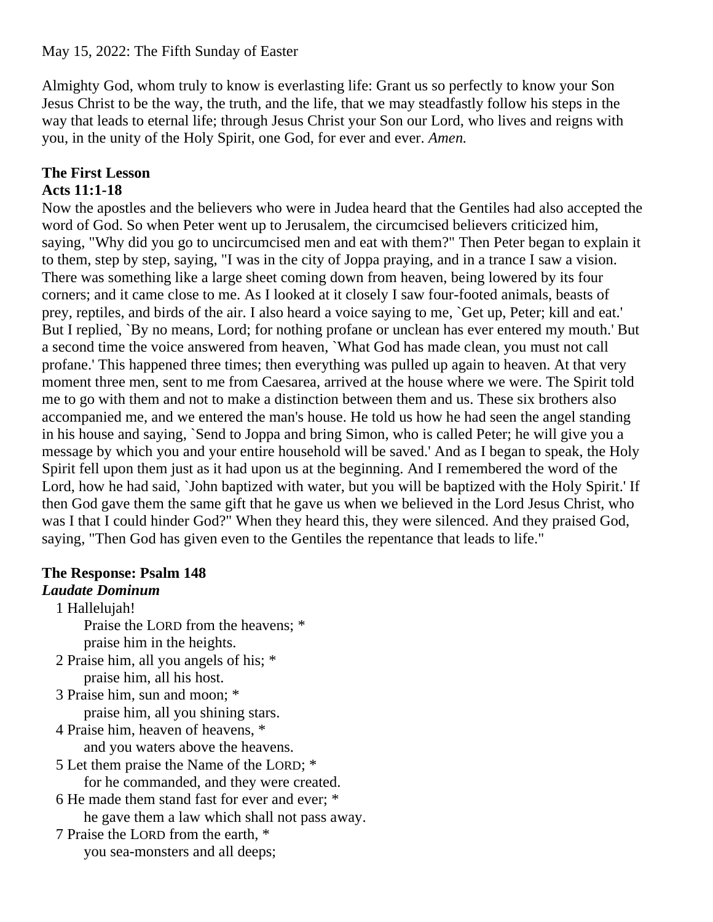Almighty God, whom truly to know is everlasting life: Grant us so perfectly to know your Son Jesus Christ to be the way, the truth, and the life, that we may steadfastly follow his steps in the way that leads to eternal life; through Jesus Christ your Son our Lord, who lives and reigns with you, in the unity of the Holy Spirit, one God, for ever and ever. *Amen.*

## **The First Lesson Acts 11:1-18**

Now the apostles and the believers who were in Judea heard that the Gentiles had also accepted the word of God. So when Peter went up to Jerusalem, the circumcised believers criticized him, saying, "Why did you go to uncircumcised men and eat with them?" Then Peter began to explain it to them, step by step, saying, "I was in the city of Joppa praying, and in a trance I saw a vision. There was something like a large sheet coming down from heaven, being lowered by its four corners; and it came close to me. As I looked at it closely I saw four-footed animals, beasts of prey, reptiles, and birds of the air. I also heard a voice saying to me, `Get up, Peter; kill and eat.' But I replied, `By no means, Lord; for nothing profane or unclean has ever entered my mouth.' But a second time the voice answered from heaven, `What God has made clean, you must not call profane.' This happened three times; then everything was pulled up again to heaven. At that very moment three men, sent to me from Caesarea, arrived at the house where we were. The Spirit told me to go with them and not to make a distinction between them and us. These six brothers also accompanied me, and we entered the man's house. He told us how he had seen the angel standing in his house and saying, `Send to Joppa and bring Simon, who is called Peter; he will give you a message by which you and your entire household will be saved.' And as I began to speak, the Holy Spirit fell upon them just as it had upon us at the beginning. And I remembered the word of the Lord, how he had said, `John baptized with water, but you will be baptized with the Holy Spirit.' If then God gave them the same gift that he gave us when we believed in the Lord Jesus Christ, who was I that I could hinder God?" When they heard this, they were silenced. And they praised God, saying, "Then God has given even to the Gentiles the repentance that leads to life."

## **The Response: Psalm 148** *Laudate Dominum*

1 Hallelujah!

Praise the LORD from the heavens; \* praise him in the heights.

- 2 Praise him, all you angels of his; \* praise him, all his host.
- 3 Praise him, sun and moon; \*

praise him, all you shining stars.

4 Praise him, heaven of heavens, \*

and you waters above the heavens.

5 Let them praise the Name of the LORD; \*

- for he commanded, and they were created.
- 6 He made them stand fast for ever and ever; \* he gave them a law which shall not pass away.
- 7 Praise the LORD from the earth, \* you sea-monsters and all deeps;